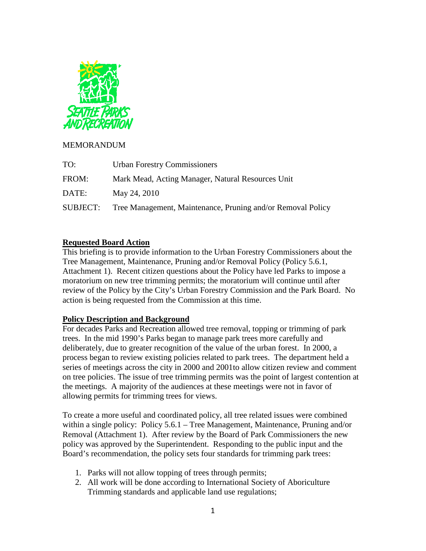

## MEMORANDUM

| TO:      | <b>Urban Forestry Commissioners</b>                         |
|----------|-------------------------------------------------------------|
| FROM:    | Mark Mead, Acting Manager, Natural Resources Unit           |
| DATE:    | May 24, 2010                                                |
| SUBJECT: | Tree Management, Maintenance, Pruning and/or Removal Policy |

## **Requested Board Action**

This briefing is to provide information to the Urban Forestry Commissioners about the Tree Management, Maintenance, Pruning and/or Removal Policy (Policy 5.6.1, Attachment 1). Recent citizen questions about the Policy have led Parks to impose a moratorium on new tree trimming permits; the moratorium will continue until after review of the Policy by the City's Urban Forestry Commission and the Park Board. No action is being requested from the Commission at this time.

## **Policy Description and Background**

For decades Parks and Recreation allowed tree removal, topping or trimming of park trees. In the mid 1990's Parks began to manage park trees more carefully and deliberately, due to greater recognition of the value of the urban forest. In 2000, a process began to review existing policies related to park trees. The department held a series of meetings across the city in 2000 and 2001to allow citizen review and comment on tree policies. The issue of tree trimming permits was the point of largest contention at the meetings. A majority of the audiences at these meetings were not in favor of allowing permits for trimming trees for views.

To create a more useful and coordinated policy, all tree related issues were combined within a single policy: Policy 5.6.1 – Tree Management, Maintenance, Pruning and/or Removal (Attachment 1). After review by the Board of Park Commissioners the new policy was approved by the Superintendent. Responding to the public input and the Board's recommendation, the policy sets four standards for trimming park trees:

- 1. Parks will not allow topping of trees through permits;
- 2. All work will be done according to International Society of Aboriculture Trimming standards and applicable land use regulations;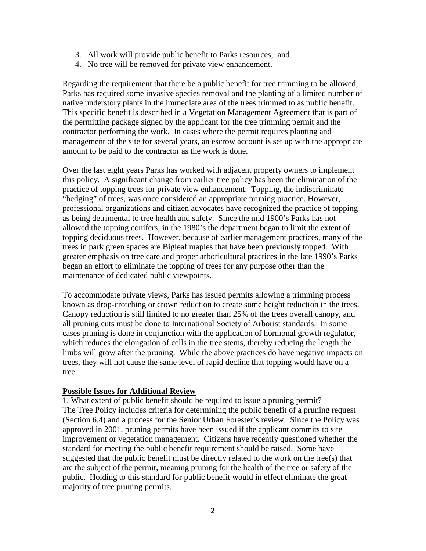- 3. All work will provide public benefit to Parks resources; and
- 4. No tree will be removed for private view enhancement.

Regarding the requirement that there be a public benefit for tree trimming to be allowed, Parks has required some invasive species removal and the planting of a limited number of native understory plants in the immediate area of the trees trimmed to as public benefit. This specific benefit is described in a Vegetation Management Agreement that is part of the permitting package signed by the applicant for the tree trimming permit and the contractor performing the work. In cases where the permit requires planting and management of the site for several years, an escrow account is set up with the appropriate amount to be paid to the contractor as the work is done.

Over the last eight years Parks has worked with adjacent property owners to implement this policy. A significant change from earlier tree policy has been the elimination of the practice of topping trees for private view enhancement. Topping, the indiscriminate "hedging" of trees, was once considered an appropriate pruning practice. However, professional organizations and citizen advocates have recognized the practice of topping as being detrimental to tree health and safety. Since the mid 1900's Parks has not allowed the topping conifers; in the 1980's the department began to limit the extent of topping deciduous trees. However, because of earlier management practices, many of the trees in park green spaces are Bigleaf maples that have been previously topped. With greater emphasis on tree care and proper arboricultural practices in the late 1990's Parks began an effort to eliminate the topping of trees for any purpose other than the maintenance of dedicated public viewpoints.

To accommodate private views, Parks has issued permits allowing a trimming process known as drop-crotching or crown reduction to create some height reduction in the trees. Canopy reduction is still limited to no greater than 25% of the trees overall canopy, and all pruning cuts must be done to International Society of Arborist standards. In some cases pruning is done in conjunction with the application of hormonal growth regulator, which reduces the elongation of cells in the tree stems, thereby reducing the length the limbs will grow after the pruning. While the above practices do have negative impacts on trees, they will not cause the same level of rapid decline that topping would have on a tree.

## **Possible Issues for Additional Review**

The Tree Policy includes criteria for determining the public benefit of a pruning request (Section 6.4) and a process for the Senior Urban Forester's review. Since the Policy was approved in 2001, pruning permits have been issued if the applicant commits to site improvement or vegetation management. Citizens have recently questioned whether the standard for meeting the public benefit requirement should be raised. Some have suggested that the public benefit must be directly related to the work on the tree(s) that are the subject of the permit, meaning pruning for the health of the tree or safety of the public. Holding to this standard for public benefit would in effect eliminate the great majority of tree pruning permits. 1. What extent of public benefit should be required to issue a pruning permit?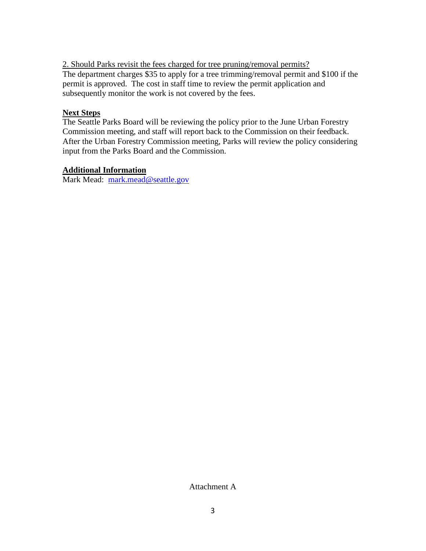The department charges \$35 to apply for a tree trimming/removal permit and \$100 if the permit is approved. The cost in staff time to review the permit application and subsequently monitor the work is not covered by the fees. 2. Should Parks revisit the fees charged for tree pruning/removal permits?

## **Next Steps**

The Seattle Parks Board will be reviewing the policy prior to the June Urban Forestry Commission meeting, and staff will report back to the Commission on their feedback. After the Urban Forestry Commission meeting, Parks will review the policy considering input from the Parks Board and the Commission.

## **Additional Information**

Mark Mead: [mark.mead@seattle.gov](mailto:mark.mead@seattle.gov)

Attachment A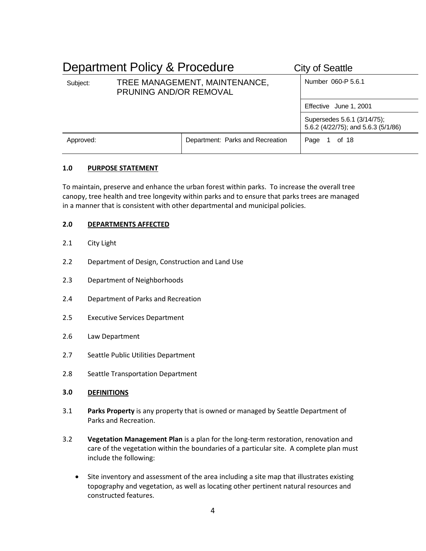|           | Department Policy & Procedure                           | <b>City of Seattle</b>           |                                                                    |
|-----------|---------------------------------------------------------|----------------------------------|--------------------------------------------------------------------|
| Subject:  | TREE MANAGEMENT, MAINTENANCE,<br>PRUNING AND/OR REMOVAL |                                  | Number 060-P 5.6.1                                                 |
|           |                                                         |                                  | Effective June 1, 2001                                             |
|           |                                                         |                                  | Supersedes 5.6.1 (3/14/75);<br>5.6.2 (4/22/75); and 5.6.3 (5/1/86) |
| Approved: |                                                         | Department: Parks and Recreation | Page<br>1 of 18                                                    |

### **1.0 PURPOSE STATEMENT**

To maintain, preserve and enhance the urban forest within parks. To increase the overall tree canopy, tree health and tree longevity within parks and to ensure that parks trees are managed in a manner that is consistent with other departmental and municipal policies.

### **2.0 DEPARTMENTS AFFECTED**

- 2.1 City Light
- 2.2 Department of Design, Construction and Land Use
- 2.3 Department of Neighborhoods
- 2.4 Department of Parks and Recreation
- 2.5 Executive Services Department
- 2.6 Law Department
- 2.7 Seattle Public Utilities Department
- 2.8 Seattle Transportation Department
- **3.0 DEFINITIONS**
- 3.1 **Parks Property** is any property that is owned or managed by Seattle Department of Parks and Recreation.
- 3.2 **Vegetation Management Plan** is a plan for the long-term restoration, renovation and care of the vegetation within the boundaries of a particular site. A complete plan must include the following:
	- Site inventory and assessment of the area including a site map that illustrates existing topography and vegetation, as well as locating other pertinent natural resources and constructed features.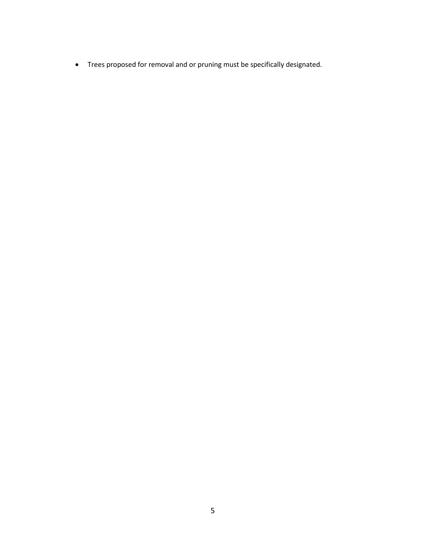• Trees proposed for removal and or pruning must be specifically designated.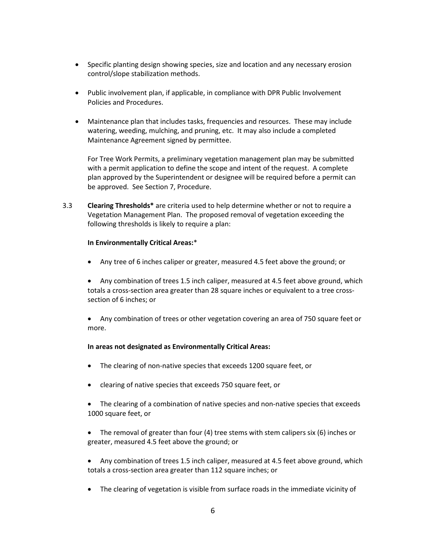- Specific planting design showing species, size and location and any necessary erosion control/slope stabilization methods.
- Public involvement plan, if applicable, in compliance with DPR Public Involvement Policies and Procedures.
- Maintenance plan that includes tasks, frequencies and resources. These may include watering, weeding, mulching, and pruning, etc. It may also include a completed Maintenance Agreement signed by permittee.

For Tree Work Permits, a preliminary vegetation management plan may be submitted with a permit application to define the scope and intent of the request. A complete plan approved by the Superintendent or designee will be required before a permit can be approved. See Section 7, Procedure.

3.3 **Clearing Thresholds\*** are criteria used to help determine whether or not to require a Vegetation Management Plan. The proposed removal of vegetation exceeding the following thresholds is likely to require a plan:

#### **In Environmentally Critical Areas:**\*

• Any tree of 6 inches caliper or greater, measured 4.5 feet above the ground; or

• Any combination of trees 1.5 inch caliper, measured at 4.5 feet above ground, which totals a cross-section area greater than 28 square inches or equivalent to a tree crosssection of 6 inches; or

• Any combination of trees or other vegetation covering an area of 750 square feet or more.

#### **In areas not designated as Environmentally Critical Areas:**

- The clearing of non-native species that exceeds 1200 square feet, or
- clearing of native species that exceeds 750 square feet, or
- The clearing of a combination of native species and non-native species that exceeds 1000 square feet, or
- The removal of greater than four (4) tree stems with stem calipers six (6) inches or greater, measured 4.5 feet above the ground; or
- Any combination of trees 1.5 inch caliper, measured at 4.5 feet above ground, which totals a cross-section area greater than 112 square inches; or
- The clearing of vegetation is visible from surface roads in the immediate vicinity of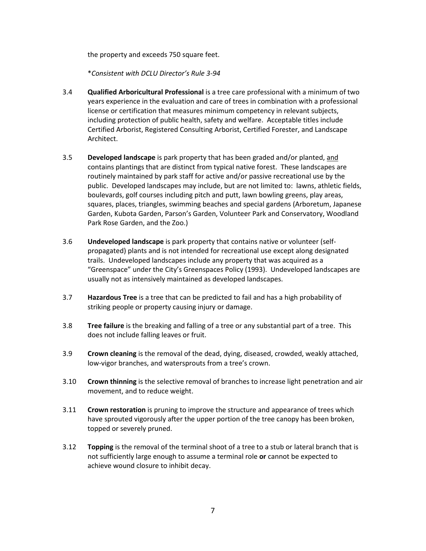the property and exceeds 750 square feet.

\**Consistent with DCLU Director's Rule 3-94*

- 3.4 **Qualified Arboricultural Professional** is a tree care professional with a minimum of two years experience in the evaluation and care of trees in combination with a professional license or certification that measures minimum competency in relevant subjects, including protection of public health, safety and welfare. Acceptable titles include Certified Arborist, Registered Consulting Arborist, Certified Forester, and Landscape Architect.
- 3.5 **Developed landscape** is park property that has been graded and/or planted, and contains plantings that are distinct from typical native forest. These landscapes are routinely maintained by park staff for active and/or passive recreational use by the public. Developed landscapes may include, but are not limited to: lawns, athletic fields, boulevards, golf courses including pitch and putt, lawn bowling greens, play areas, squares, places, triangles, swimming beaches and special gardens (Arboretum, Japanese Garden, Kubota Garden, Parson's Garden, Volunteer Park and Conservatory, Woodland Park Rose Garden, and the Zoo.)
- 3.6 **Undeveloped landscape** is park property that contains native or volunteer (selfpropagated) plants and is not intended for recreational use except along designated trails. Undeveloped landscapes include any property that was acquired as a "Greenspace" under the City's Greenspaces Policy (1993). Undeveloped landscapes are usually not as intensively maintained as developed landscapes.
- 3.7 **Hazardous Tree** is a tree that can be predicted to fail and has a high probability of striking people or property causing injury or damage.
- 3.8 **Tree failure** is the breaking and falling of a tree or any substantial part of a tree. This does not include falling leaves or fruit.
- 3.9 **Crown cleaning** is the removal of the dead, dying, diseased, crowded, weakly attached, low-vigor branches, and watersprouts from a tree's crown.
- 3.10 **Crown thinning** is the selective removal of branches to increase light penetration and air movement, and to reduce weight.
- 3.11 **Crown restoration** is pruning to improve the structure and appearance of trees which have sprouted vigorously after the upper portion of the tree canopy has been broken, topped or severely pruned.
- 3.12 **Topping** is the removal of the terminal shoot of a tree to a stub or lateral branch that is not sufficiently large enough to assume a terminal role **or** cannot be expected to achieve wound closure to inhibit decay.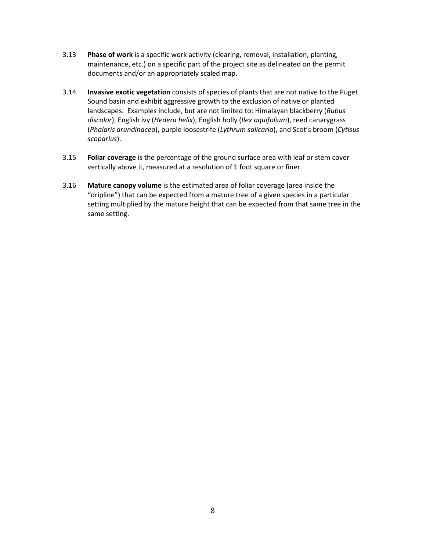- 3.13 **Phase of work** is a specific work activity (clearing, removal, installation, planting, maintenance, etc.) on a specific part of the project site as delineated on the permit documents and/or an appropriately scaled map.
- 3.14 **Invasive exotic vegetation** consists of species of plants that are not native to the Puget Sound basin and exhibit aggressive growth to the exclusion of native or planted landscapes. Examples include, but are not limited to: Himalayan blackberry (*Rubus discolor*), English ivy (*Hedera helix*), English holly (*Ilex aquifolium*), reed canarygrass (*Phalaris arundinacea*), purple loosestrife (*Lythrum salicaria*), and Scot's broom (*Cytisus scoparius*).
- 3.15 **Foliar coverage** is the percentage of the ground surface area with leaf or stem cover vertically above it, measured at a resolution of 1 foot square or finer.
- 3.16 **Mature canopy volume** is the estimated area of foliar coverage (area inside the "dripline") that can be expected from a mature tree of a given species in a particular setting multiplied by the mature height that can be expected from that same tree in the same setting.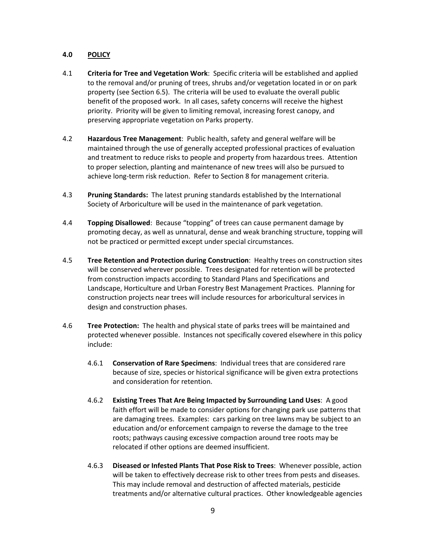### **4.0 POLICY**

- 4.1 **Criteria for Tree and Vegetation Work**: Specific criteria will be established and applied to the removal and/or pruning of trees, shrubs and/or vegetation located in or on park property (see Section 6.5). The criteria will be used to evaluate the overall public benefit of the proposed work. In all cases, safety concerns will receive the highest priority. Priority will be given to limiting removal, increasing forest canopy, and preserving appropriate vegetation on Parks property.
- 4.2 **Hazardous Tree Management**: Public health, safety and general welfare will be maintained through the use of generally accepted professional practices of evaluation and treatment to reduce risks to people and property from hazardous trees. Attention to proper selection, planting and maintenance of new trees will also be pursued to achieve long-term risk reduction. Refer to Section 8 for management criteria.
- 4.3 **Pruning Standards:** The latest pruning standards established by the International Society of Arboriculture will be used in the maintenance of park vegetation.
- 4.4 **Topping Disallowed**: Because "topping" of trees can cause permanent damage by promoting decay, as well as unnatural, dense and weak branching structure, topping will not be practiced or permitted except under special circumstances.
- 4.5 **Tree Retention and Protection during Construction**: Healthy trees on construction sites will be conserved wherever possible. Trees designated for retention will be protected from construction impacts according to Standard Plans and Specifications and Landscape, Horticulture and Urban Forestry Best Management Practices. Planning for construction projects near trees will include resources for arboricultural services in design and construction phases.
- 4.6 **Tree Protection:** The health and physical state of parks trees will be maintained and protected whenever possible. Instances not specifically covered elsewhere in this policy include:
	- 4.6.1 **Conservation of Rare Specimens**: Individual trees that are considered rare because of size, species or historical significance will be given extra protections and consideration for retention.
	- 4.6.2 **Existing Trees That Are Being Impacted by Surrounding Land Uses**: A good faith effort will be made to consider options for changing park use patterns that are damaging trees. Examples: cars parking on tree lawns may be subject to an education and/or enforcement campaign to reverse the damage to the tree roots; pathways causing excessive compaction around tree roots may be relocated if other options are deemed insufficient.
	- 4.6.3 **Diseased or Infested Plants That Pose Risk to Trees**: Whenever possible, action will be taken to effectively decrease risk to other trees from pests and diseases. This may include removal and destruction of affected materials, pesticide treatments and/or alternative cultural practices. Other knowledgeable agencies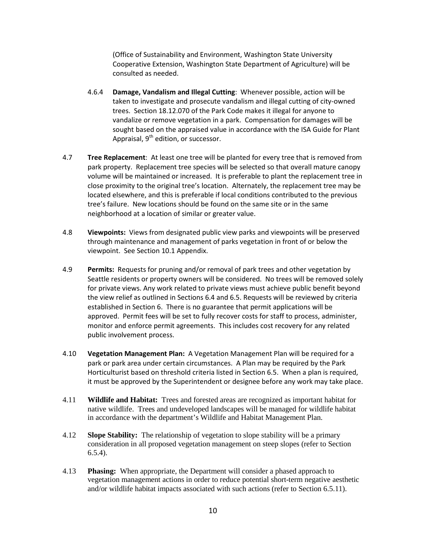(Office of Sustainability and Environment, Washington State University Cooperative Extension, Washington State Department of Agriculture) will be consulted as needed.

- 4.6.4 **Damage, Vandalism and Illegal Cutting**: Whenever possible, action will be taken to investigate and prosecute vandalism and illegal cutting of city-owned trees. Section 18.12.070 of the Park Code makes it illegal for anyone to vandalize or remove vegetation in a park. Compensation for damages will be sought based on the appraised value in accordance with the ISA Guide for Plant Appraisal,  $9<sup>th</sup>$  edition, or successor.
- 4.7 **Tree Replacement**: At least one tree will be planted for every tree that is removed from park property. Replacement tree species will be selected so that overall mature canopy volume will be maintained or increased. It is preferable to plant the replacement tree in close proximity to the original tree's location. Alternately, the replacement tree may be located elsewhere, and this is preferable if local conditions contributed to the previous tree's failure. New locations should be found on the same site or in the same neighborhood at a location of similar or greater value.
- 4.8 **Viewpoints:** Views from designated public view parks and viewpoints will be preserved through maintenance and management of parks vegetation in front of or below the viewpoint. See Section 10.1 Appendix.
- 4.9 **Permits:** Requests for pruning and/or removal of park trees and other vegetation by Seattle residents or property owners will be considered. No trees will be removed solely for private views. Any work related to private views must achieve public benefit beyond the view relief as outlined in Sections 6.4 and 6.5. Requests will be reviewed by criteria established in Section 6. There is no guarantee that permit applications will be approved. Permit fees will be set to fully recover costs for staff to process, administer, monitor and enforce permit agreements. This includes cost recovery for any related public involvement process.
- 4.10 **Vegetation Management Plan:** A Vegetation Management Plan will be required for a park or park area under certain circumstances. A Plan may be required by the Park Horticulturist based on threshold criteria listed in Section 6.5. When a plan is required, it must be approved by the Superintendent or designee before any work may take place.
- 4.11 **Wildlife and Habitat:** Trees and forested areas are recognized as important habitat for native wildlife. Trees and undeveloped landscapes will be managed for wildlife habitat in accordance with the department's Wildlife and Habitat Management Plan.
- 4.12 **Slope Stability:** The relationship of vegetation to slope stability will be a primary consideration in all proposed vegetation management on steep slopes (refer to Section 6.5.4).
- 4.13 **Phasing:** When appropriate, the Department will consider a phased approach to vegetation management actions in order to reduce potential short-term negative aesthetic and/or wildlife habitat impacts associated with such actions (refer to Section 6.5.11).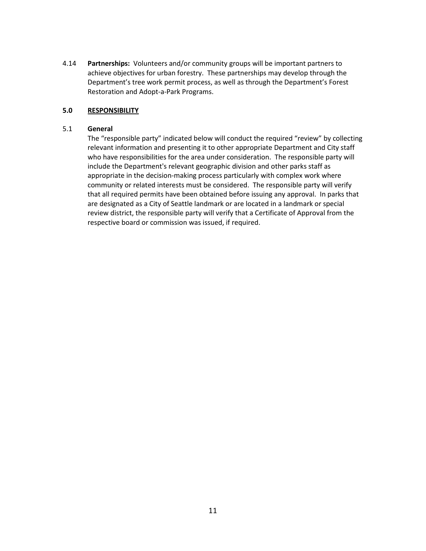4.14 **Partnerships:** Volunteers and/or community groups will be important partners to achieve objectives for urban forestry. These partnerships may develop through the Department's tree work permit process, as well as through the Department's Forest Restoration and Adopt-a-Park Programs.

#### **5.0 RESPONSIBILITY**

#### 5.1 **General**

The "responsible party" indicated below will conduct the required "review" by collecting relevant information and presenting it to other appropriate Department and City staff who have responsibilities for the area under consideration. The responsible party will include the Department's relevant geographic division and other parks staff as appropriate in the decision-making process particularly with complex work where community or related interests must be considered. The responsible party will verify that all required permits have been obtained before issuing any approval. In parks that are designated as a City of Seattle landmark or are located in a landmark or special review district, the responsible party will verify that a Certificate of Approval from the respective board or commission was issued, if required.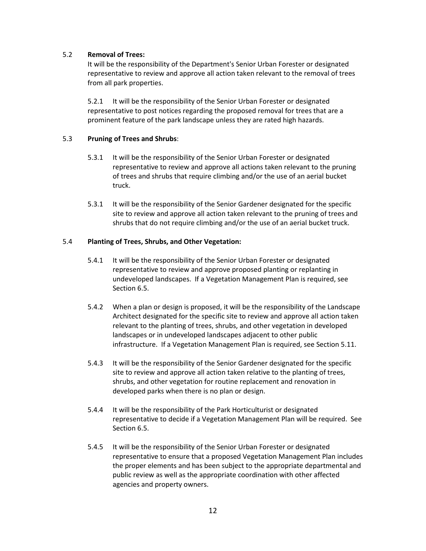### 5.2 **Removal of Trees:**

It will be the responsibility of the Department's Senior Urban Forester or designated representative to review and approve all action taken relevant to the removal of trees from all park properties.

5.2.1 It will be the responsibility of the Senior Urban Forester or designated representative to post notices regarding the proposed removal for trees that are a prominent feature of the park landscape unless they are rated high hazards.

### 5.3 **Pruning of Trees and Shrubs**:

- 5.3.1 It will be the responsibility of the Senior Urban Forester or designated representative to review and approve all actions taken relevant to the pruning of trees and shrubs that require climbing and/or the use of an aerial bucket truck.
- 5.3.1 It will be the responsibility of the Senior Gardener designated for the specific site to review and approve all action taken relevant to the pruning of trees and shrubs that do not require climbing and/or the use of an aerial bucket truck.

### 5.4 **Planting of Trees, Shrubs, and Other Vegetation:**

- 5.4.1 It will be the responsibility of the Senior Urban Forester or designated representative to review and approve proposed planting or replanting in undeveloped landscapes. If a Vegetation Management Plan is required, see Section 6.5.
- 5.4.2 When a plan or design is proposed, it will be the responsibility of the Landscape Architect designated for the specific site to review and approve all action taken relevant to the planting of trees, shrubs, and other vegetation in developed landscapes or in undeveloped landscapes adjacent to other public infrastructure. If a Vegetation Management Plan is required, see Section 5.11.
- 5.4.3 It will be the responsibility of the Senior Gardener designated for the specific site to review and approve all action taken relative to the planting of trees, shrubs, and other vegetation for routine replacement and renovation in developed parks when there is no plan or design.
- 5.4.4 It will be the responsibility of the Park Horticulturist or designated representative to decide if a Vegetation Management Plan will be required. See Section 6.5.
- 5.4.5 It will be the responsibility of the Senior Urban Forester or designated representative to ensure that a proposed Vegetation Management Plan includes the proper elements and has been subject to the appropriate departmental and public review as well as the appropriate coordination with other affected agencies and property owners.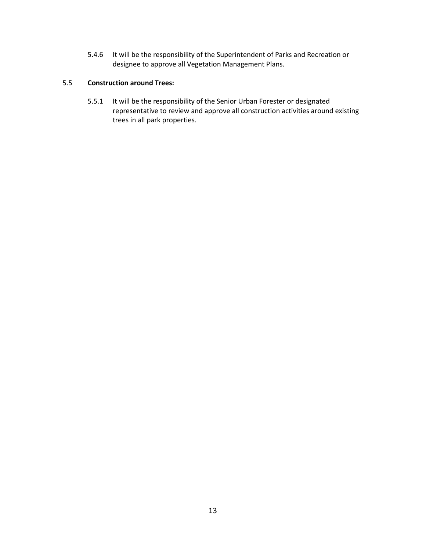5.4.6 It will be the responsibility of the Superintendent of Parks and Recreation or designee to approve all Vegetation Management Plans.

### 5.5 **Construction around Trees:**

5.5.1 It will be the responsibility of the Senior Urban Forester or designated representative to review and approve all construction activities around existing trees in all park properties.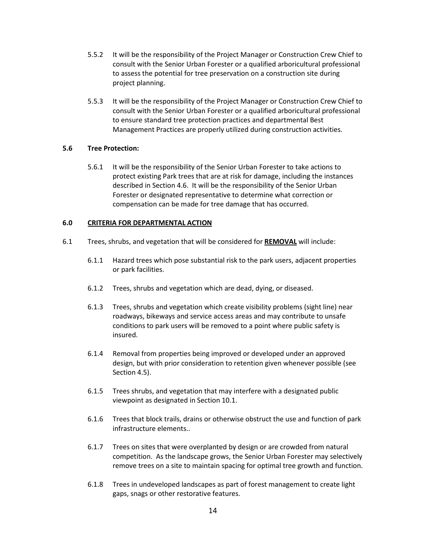- 5.5.2 It will be the responsibility of the Project Manager or Construction Crew Chief to consult with the Senior Urban Forester or a qualified arboricultural professional to assess the potential for tree preservation on a construction site during project planning.
- 5.5.3 It will be the responsibility of the Project Manager or Construction Crew Chief to consult with the Senior Urban Forester or a qualified arboricultural professional to ensure standard tree protection practices and departmental Best Management Practices are properly utilized during construction activities.

### **5.6 Tree Protection:**

5.6.1 It will be the responsibility of the Senior Urban Forester to take actions to protect existing Park trees that are at risk for damage, including the instances described in Section 4.6. It will be the responsibility of the Senior Urban Forester or designated representative to determine what correction or compensation can be made for tree damage that has occurred.

#### **6.0 CRITERIA FOR DEPARTMENTAL ACTION**

- 6.1 Trees, shrubs, and vegetation that will be considered for **REMOVAL** will include:
	- 6.1.1 Hazard trees which pose substantial risk to the park users, adjacent properties or park facilities.
	- 6.1.2 Trees, shrubs and vegetation which are dead, dying, or diseased.
	- 6.1.3 Trees, shrubs and vegetation which create visibility problems (sight line) near roadways, bikeways and service access areas and may contribute to unsafe conditions to park users will be removed to a point where public safety is insured.
	- 6.1.4 Removal from properties being improved or developed under an approved design, but with prior consideration to retention given whenever possible (see Section 4.5).
	- 6.1.5 Trees shrubs, and vegetation that may interfere with a designated public viewpoint as designated in Section 10.1.
	- 6.1.6 Trees that block trails, drains or otherwise obstruct the use and function of park infrastructure elements..
	- 6.1.7 Trees on sites that were overplanted by design or are crowded from natural competition. As the landscape grows, the Senior Urban Forester may selectively remove trees on a site to maintain spacing for optimal tree growth and function.
	- 6.1.8 Trees in undeveloped landscapes as part of forest management to create light gaps, snags or other restorative features.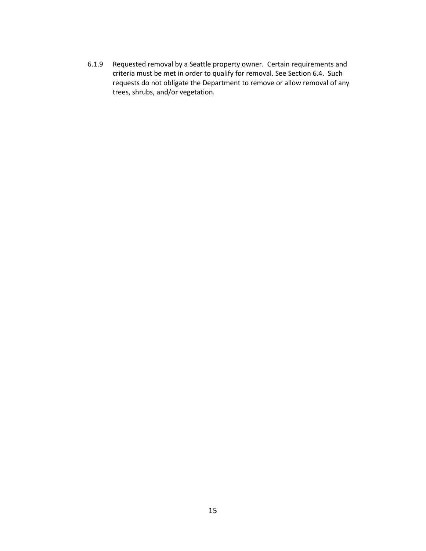6.1.9 Requested removal by a Seattle property owner. Certain requirements and criteria must be met in order to qualify for removal. See Section 6.4. Such requests do not obligate the Department to remove or allow removal of any trees, shrubs, and/or vegetation.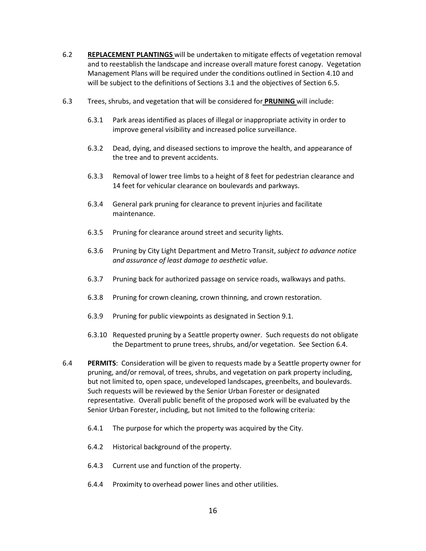- 6.2 **REPLACEMENT PLANTINGS** will be undertaken to mitigate effects of vegetation removal and to reestablish the landscape and increase overall mature forest canopy. Vegetation Management Plans will be required under the conditions outlined in Section 4.10 and will be subject to the definitions of Sections 3.1 and the objectives of Section 6.5.
- 6.3 Trees, shrubs, and vegetation that will be considered for **PRUNING** will include:
	- 6.3.1 Park areas identified as places of illegal or inappropriate activity in order to improve general visibility and increased police surveillance.
	- 6.3.2 Dead, dying, and diseased sections to improve the health, and appearance of the tree and to prevent accidents.
	- 6.3.3 Removal of lower tree limbs to a height of 8 feet for pedestrian clearance and 14 feet for vehicular clearance on boulevards and parkways.
	- 6.3.4 General park pruning for clearance to prevent injuries and facilitate maintenance.
	- 6.3.5 Pruning for clearance around street and security lights.
	- 6.3.6 Pruning by City Light Department and Metro Transit, *subject to advance notice and assurance of least damage to aesthetic value*.
	- 6.3.7 Pruning back for authorized passage on service roads, walkways and paths.
	- 6.3.8 Pruning for crown cleaning, crown thinning, and crown restoration.
	- 6.3.9 Pruning for public viewpoints as designated in Section 9.1.
	- 6.3.10 Requested pruning by a Seattle property owner. Such requests do not obligate the Department to prune trees, shrubs, and/or vegetation. See Section 6.4.
- 6.4 **PERMITS**: Consideration will be given to requests made by a Seattle property owner for pruning, and/or removal, of trees, shrubs, and vegetation on park property including, but not limited to, open space, undeveloped landscapes, greenbelts, and boulevards. Such requests will be reviewed by the Senior Urban Forester or designated representative. Overall public benefit of the proposed work will be evaluated by the Senior Urban Forester, including, but not limited to the following criteria:
	- 6.4.1 The purpose for which the property was acquired by the City.
	- 6.4.2 Historical background of the property.
	- 6.4.3 Current use and function of the property.
	- 6.4.4 Proximity to overhead power lines and other utilities.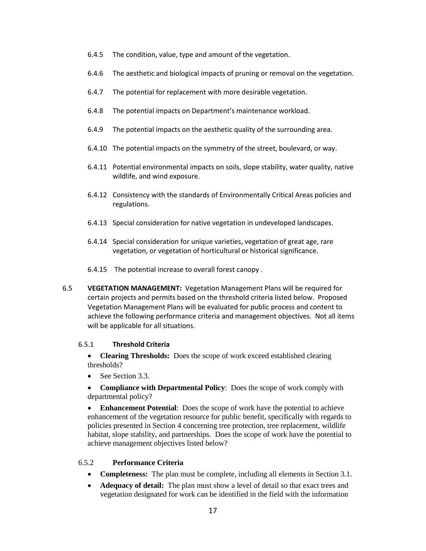- 6.4.5 The condition, value, type and amount of the vegetation.
- 6.4.6 The aesthetic and biological impacts of pruning or removal on the vegetation.
- 6.4.7 The potential for replacement with more desirable vegetation.
- 6.4.8 The potential impacts on Department's maintenance workload.
- 6.4.9 The potential impacts on the aesthetic quality of the surrounding area.
- 6.4.10 The potential impacts on the symmetry of the street, boulevard, or way.
- 6.4.11 Potential environmental impacts on soils, slope stability, water quality, native wildlife, and wind exposure.
- 6.4.12 Consistency with the standards of Environmentally Critical Areas policies and regulations.
- 6.4.13 Special consideration for native vegetation in undeveloped landscapes.
- 6.4.14 Special consideration for unique varieties, vegetation of great age, rare vegetation, or vegetation of horticultural or historical significance.
- 6.4.15 The potential increase to overall forest canopy .
- 6.5 **VEGETATION MANAGEMENT:** Vegetation Management Plans will be required for certain projects and permits based on the threshold criteria listed below. Proposed Vegetation Management Plans will be evaluated for public process and content to achieve the following performance criteria and management objectives. Not all items will be applicable for all situations.

### 6.5.1 **Threshold Criteria**

• **Clearing Thresholds:** Does the scope of work exceed established clearing thresholds?

• See Section 3.3.

• **Compliance with Departmental Policy**: Does the scope of work comply with departmental policy?

• **Enhancement Potential**: Does the scope of work have the potential to achieve enhancement of the vegetation resource for public benefit, specifically with regards to policies presented in Section 4 concerning tree protection, tree replacement, wildlife habitat, slope stability, and partnerships. Does the scope of work have the potential to achieve management objectives listed below?

### 6.5.2 **Performance Criteria**

- **Completeness:** The plan must be complete, including all elements in Section 3.1.
- **Adequacy of detail:** The plan must show a level of detail so that exact trees and vegetation designated for work can be identified in the field with the information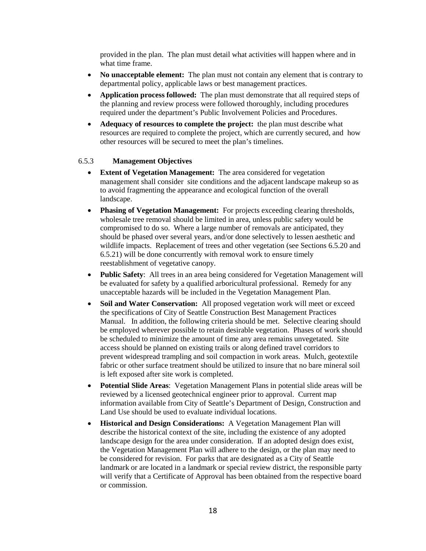provided in the plan. The plan must detail what activities will happen where and in what time frame.

- **No unacceptable element:** The plan must not contain any element that is contrary to departmental policy, applicable laws or best management practices.
- **Application process followed:** The plan must demonstrate that all required steps of the planning and review process were followed thoroughly, including procedures required under the department's Public Involvement Policies and Procedures.
- **Adequacy of resources to complete the project:** the plan must describe what resources are required to complete the project, which are currently secured, and how other resources will be secured to meet the plan's timelines.

### 6.5.3 **Management Objectives**

- **Extent of Vegetation Management:** The area considered for vegetation management shall consider site conditions and the adjacent landscape makeup so as to avoid fragmenting the appearance and ecological function of the overall landscape.
- **Phasing of Vegetation Management:** For projects exceeding clearing thresholds, wholesale tree removal should be limited in area, unless public safety would be compromised to do so. Where a large number of removals are anticipated, they should be phased over several years, and/or done selectively to lessen aesthetic and wildlife impacts. Replacement of trees and other vegetation (see Sections 6.5.20 and 6.5.21) will be done concurrently with removal work to ensure timely reestablishment of vegetative canopy.
- **Public Safety**: All trees in an area being considered for Vegetation Management will be evaluated for safety by a qualified arboricultural professional. Remedy for any unacceptable hazards will be included in the Vegetation Management Plan.
- **Soil and Water Conservation:** All proposed vegetation work will meet or exceed the specifications of City of Seattle Construction Best Management Practices Manual. In addition, the following criteria should be met. Selective clearing should be employed wherever possible to retain desirable vegetation. Phases of work should be scheduled to minimize the amount of time any area remains unvegetated. Site access should be planned on existing trails or along defined travel corridors to prevent widespread trampling and soil compaction in work areas. Mulch, geotextile fabric or other surface treatment should be utilized to insure that no bare mineral soil is left exposed after site work is completed.
- **Potential Slide Areas**: Vegetation Management Plans in potential slide areas will be reviewed by a licensed geotechnical engineer prior to approval. Current map information available from City of Seattle's Department of Design, Construction and Land Use should be used to evaluate individual locations.
- **Historical and Design Considerations:** A Vegetation Management Plan will describe the historical context of the site, including the existence of any adopted landscape design for the area under consideration. If an adopted design does exist, the Vegetation Management Plan will adhere to the design, or the plan may need to be considered for revision. For parks that are designated as a City of Seattle landmark or are located in a landmark or special review district, the responsible party will verify that a Certificate of Approval has been obtained from the respective board or commission.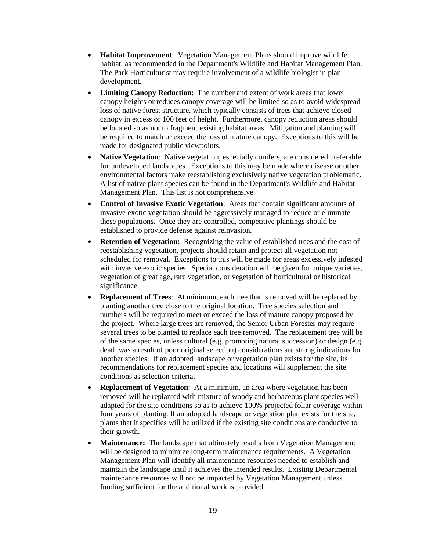- **Habitat Improvement**: Vegetation Management Plans should improve wildlife habitat, as recommended in the Department's Wildlife and Habitat Management Plan. The Park Horticulturist may require involvement of a wildlife biologist in plan development.
- **Limiting Canopy Reduction**: The number and extent of work areas that lower canopy heights or reduces canopy coverage will be limited so as to avoid widespread loss of native forest structure, which typically consists of trees that achieve closed canopy in excess of 100 feet of height. Furthermore, canopy reduction areas should be located so as not to fragment existing habitat areas. Mitigation and planting will be required to match or exceed the loss of mature canopy. Exceptions to this will be made for designated public viewpoints.
- **Native Vegetation**: Native vegetation, especially conifers, are considered preferable for undeveloped landscapes. Exceptions to this may be made where disease or other environmental factors make reestablishing exclusively native vegetation problematic. A list of native plant species can be found in the Department's Wildlife and Habitat Management Plan. This list is not comprehensive.
- **Control of Invasive Exotic Vegetation**: Areas that contain significant amounts of invasive exotic vegetation should be aggressively managed to reduce or eliminate these populations. Once they are controlled, competitive plantings should be established to provide defense against reinvasion.
- **Retention of Vegetation:** Recognizing the value of established trees and the cost of reestablishing vegetation, projects should retain and protect all vegetation not scheduled for removal. Exceptions to this will be made for areas excessively infested with invasive exotic species. Special consideration will be given for unique varieties, vegetation of great age, rare vegetation, or vegetation of horticultural or historical significance.
- **Replacement of Trees**: At minimum, each tree that is removed will be replaced by planting another tree close to the original location. Tree species selection and numbers will be required to meet or exceed the loss of mature canopy proposed by the project. Where large trees are removed, the Senior Urban Forester may require several trees to be planted to replace each tree removed. The replacement tree will be of the same species, unless cultural (e.g. promoting natural succession) or design (e.g. death was a result of poor original selection) considerations are strong indications for another species. If an adopted landscape or vegetation plan exists for the site, its recommendations for replacement species and locations will supplement the site conditions as selection criteria.
- **Replacement of Vegetation**: At a minimum, an area where vegetation has been removed will be replanted with mixture of woody and herbaceous plant species well adapted for the site conditions so as to achieve 100% projected foliar coverage within four years of planting. If an adopted landscape or vegetation plan exists for the site, plants that it specifies will be utilized if the existing site conditions are conducive to their growth.
- **Maintenance:** The landscape that ultimately results from Vegetation Management will be designed to minimize long-term maintenance requirements. A Vegetation Management Plan will identify all maintenance resources needed to establish and maintain the landscape until it achieves the intended results. Existing Departmental maintenance resources will not be impacted by Vegetation Management unless funding sufficient for the additional work is provided.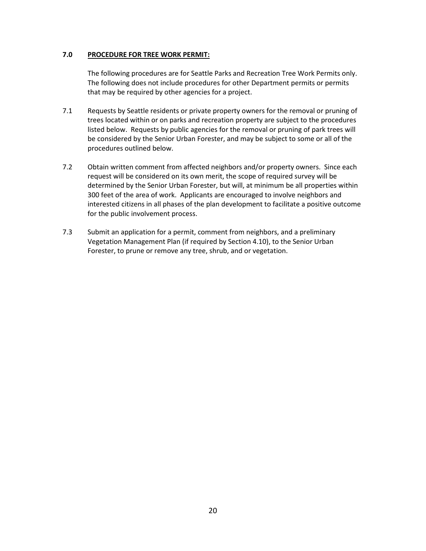### **7.0 PROCEDURE FOR TREE WORK PERMIT:**

The following procedures are for Seattle Parks and Recreation Tree Work Permits only. The following does not include procedures for other Department permits or permits that may be required by other agencies for a project.

- 7.1 Requests by Seattle residents or private property owners for the removal or pruning of trees located within or on parks and recreation property are subject to the procedures listed below. Requests by public agencies for the removal or pruning of park trees will be considered by the Senior Urban Forester, and may be subject to some or all of the procedures outlined below.
- 7.2 Obtain written comment from affected neighbors and/or property owners. Since each request will be considered on its own merit, the scope of required survey will be determined by the Senior Urban Forester, but will, at minimum be all properties within 300 feet of the area of work. Applicants are encouraged to involve neighbors and interested citizens in all phases of the plan development to facilitate a positive outcome for the public involvement process.
- 7.3 Submit an application for a permit, comment from neighbors, and a preliminary Vegetation Management Plan (if required by Section 4.10), to the Senior Urban Forester, to prune or remove any tree, shrub, and or vegetation.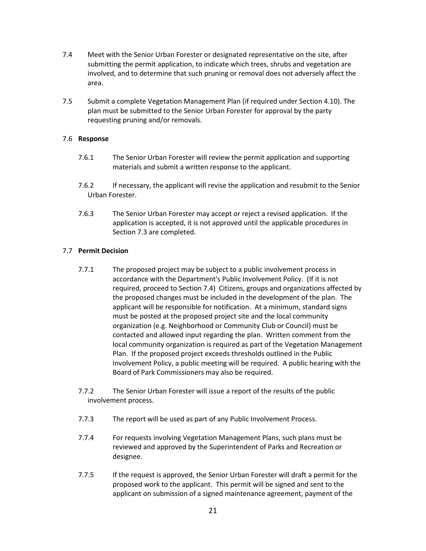- 7.4 Meet with the Senior Urban Forester or designated representative on the site, after submitting the permit application, to indicate which trees, shrubs and vegetation are involved, and to determine that such pruning or removal does not adversely affect the area.
- 7.5 Submit a complete Vegetation Management Plan (if required under Section 4.10). The plan must be submitted to the Senior Urban Forester for approval by the party requesting pruning and/or removals.

### 7.6 **Response**

- 7.6.1 The Senior Urban Forester will review the permit application and supporting materials and submit a written response to the applicant.
- 7.6.2 If necessary, the applicant will revise the application and resubmit to the Senior Urban Forester.
- 7.6.3 The Senior Urban Forester may accept or reject a revised application. If the application is accepted, it is not approved until the applicable procedures in Section 7.3 are completed.

#### 7.7 **Permit Decision**

- 7.7.1 The proposed project may be subject to a public involvement process in accordance with the Department's Public Involvement Policy. (If it is not required, proceed to Section 7.4) Citizens, groups and organizations affected by the proposed changes must be included in the development of the plan. The applicant will be responsible for notification. At a minimum, standard signs must be posted at the proposed project site and the local community organization (e.g. Neighborhood or Community Club or Council) must be contacted and allowed input regarding the plan. Written comment from the local community organization is required as part of the Vegetation Management Plan. If the proposed project exceeds thresholds outlined in the Public Involvement Policy, a public meeting will be required. A public hearing with the Board of Park Commissioners may also be required.
- 7.7.2 The Senior Urban Forester will issue a report of the results of the public involvement process.
- 7.7.3 The report will be used as part of any Public Involvement Process.
- 7.7.4 For requests involving Vegetation Management Plans, such plans must be reviewed and approved by the Superintendent of Parks and Recreation or designee.
- 7.7.5 If the request is approved, the Senior Urban Forester will draft a permit for the proposed work to the applicant. This permit will be signed and sent to the applicant on submission of a signed maintenance agreement, payment of the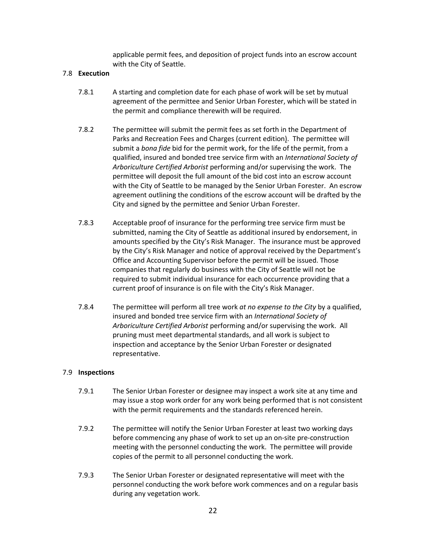applicable permit fees, and deposition of project funds into an escrow account with the City of Seattle.

#### 7.8 **Execution**

- 7.8.1 A starting and completion date for each phase of work will be set by mutual agreement of the permittee and Senior Urban Forester, which will be stated in the permit and compliance therewith will be required.
- 7.8.2 The permittee will submit the permit fees as set forth in the Department of Parks and Recreation Fees and Charges (current edition). The permittee will submit a *bona fide* bid for the permit work, for the life of the permit, from a qualified, insured and bonded tree service firm with an *International Society of Arboriculture Certified Arborist* performing and/or supervising the work. The permittee will deposit the full amount of the bid cost into an escrow account with the City of Seattle to be managed by the Senior Urban Forester. An escrow agreement outlining the conditions of the escrow account will be drafted by the City and signed by the permittee and Senior Urban Forester.
- 7.8.3 Acceptable proof of insurance for the performing tree service firm must be submitted, naming the City of Seattle as additional insured by endorsement, in amounts specified by the City's Risk Manager. The insurance must be approved by the City's Risk Manager and notice of approval received by the Department's Office and Accounting Supervisor before the permit will be issued. Those companies that regularly do business with the City of Seattle will not be required to submit individual insurance for each occurrence providing that a current proof of insurance is on file with the City's Risk Manager.
- 7.8.4 The permittee will perform all tree work *at no expense to the City* by a qualified, insured and bonded tree service firm with an *International Society of Arboriculture Certified Arborist* performing and/or supervising the work. All pruning must meet departmental standards, and all work is subject to inspection and acceptance by the Senior Urban Forester or designated representative.

#### 7.9 **Inspections**

- 7.9.1 The Senior Urban Forester or designee may inspect a work site at any time and may issue a stop work order for any work being performed that is not consistent with the permit requirements and the standards referenced herein.
- 7.9.2 The permittee will notify the Senior Urban Forester at least two working days before commencing any phase of work to set up an on-site pre-construction meeting with the personnel conducting the work. The permittee will provide copies of the permit to all personnel conducting the work.
- 7.9.3 The Senior Urban Forester or designated representative will meet with the personnel conducting the work before work commences and on a regular basis during any vegetation work.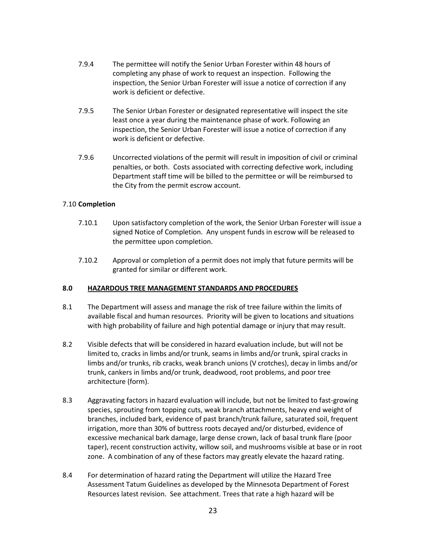- 7.9.4 The permittee will notify the Senior Urban Forester within 48 hours of completing any phase of work to request an inspection. Following the inspection, the Senior Urban Forester will issue a notice of correction if any work is deficient or defective.
- 7.9.5 The Senior Urban Forester or designated representative will inspect the site least once a year during the maintenance phase of work. Following an inspection, the Senior Urban Forester will issue a notice of correction if any work is deficient or defective.
- 7.9.6 Uncorrected violations of the permit will result in imposition of civil or criminal penalties, or both. Costs associated with correcting defective work, including Department staff time will be billed to the permittee or will be reimbursed to the City from the permit escrow account.

### 7.10 **Completion**

- 7.10.1 Upon satisfactory completion of the work, the Senior Urban Forester will issue a signed Notice of Completion. Any unspent funds in escrow will be released to the permittee upon completion.
- 7.10.2 Approval or completion of a permit does not imply that future permits will be granted for similar or different work.

#### **8.0 HAZARDOUS TREE MANAGEMENT STANDARDS AND PROCEDURES**

- 8.1 The Department will assess and manage the risk of tree failure within the limits of available fiscal and human resources. Priority will be given to locations and situations with high probability of failure and high potential damage or injury that may result.
- 8.2 Visible defects that will be considered in hazard evaluation include, but will not be limited to, cracks in limbs and/or trunk, seams in limbs and/or trunk, spiral cracks in limbs and/or trunks, rib cracks, weak branch unions (V crotches), decay in limbs and/or trunk, cankers in limbs and/or trunk, deadwood, root problems, and poor tree architecture (form).
- 8.3 Aggravating factors in hazard evaluation will include, but not be limited to fast-growing species, sprouting from topping cuts, weak branch attachments, heavy end weight of branches, included bark, evidence of past branch/trunk failure, saturated soil, frequent irrigation, more than 30% of buttress roots decayed and/or disturbed, evidence of excessive mechanical bark damage, large dense crown, lack of basal trunk flare (poor taper), recent construction activity, willow soil, and mushrooms visible at base or in root zone. A combination of any of these factors may greatly elevate the hazard rating.
- 8.4 For determination of hazard rating the Department will utilize the Hazard Tree Assessment Tatum Guidelines as developed by the Minnesota Department of Forest Resources latest revision. See attachment. Trees that rate a high hazard will be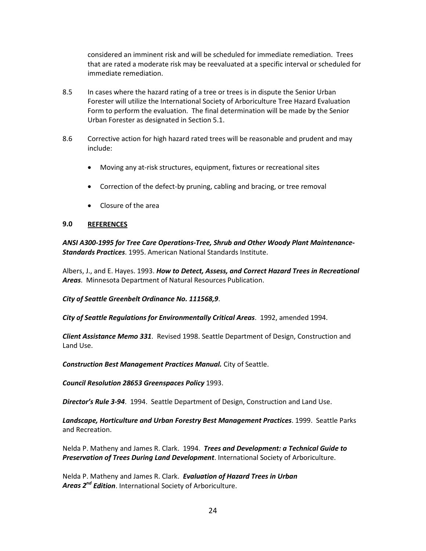considered an imminent risk and will be scheduled for immediate remediation. Trees that are rated a moderate risk may be reevaluated at a specific interval or scheduled for immediate remediation.

- 8.5 In cases where the hazard rating of a tree or trees is in dispute the Senior Urban Forester will utilize the International Society of Arboriculture Tree Hazard Evaluation Form to perform the evaluation. The final determination will be made by the Senior Urban Forester as designated in Section 5.1.
- 8.6 Corrective action for high hazard rated trees will be reasonable and prudent and may include:
	- Moving any at-risk structures, equipment, fixtures or recreational sites
	- Correction of the defect-by pruning, cabling and bracing, or tree removal
	- Closure of the area

#### **9.0 REFERENCES**

*ANSI A300-1995 for Tree Care Operations-Tree, Shrub and Other Woody Plant Maintenance-Standards Practices*. 1995. American National Standards Institute.

Albers, J., and E. Hayes. 1993. *How to Detect, Assess, and Correct Hazard Trees in Recreational Areas*. Minnesota Department of Natural Resources Publication.

*City of Seattle Greenbelt Ordinance No. 111568,9*.

*City of Seattle Regulations for Environmentally Critical Areas*. 1992, amended 1994.

*Client Assistance Memo 331*. Revised 1998. Seattle Department of Design, Construction and Land Use.

*Construction Best Management Practices Manual.* City of Seattle.

*Council Resolution 28653 Greenspaces Policy* 1993.

*Director's Rule 3-94*. 1994. Seattle Department of Design, Construction and Land Use.

*Landscape, Horticulture and Urban Forestry Best Management Practices*. 1999. Seattle Parks and Recreation.

Nelda P. Matheny and James R. Clark. 1994. *Trees and Development: a Technical Guide to Preservation of Trees During Land Development*. International Society of Arboriculture.

Nelda P. Matheny and James R. Clark. *Evaluation of Hazard Trees in Urban Areas 2nd Edition*. International Society of Arboriculture.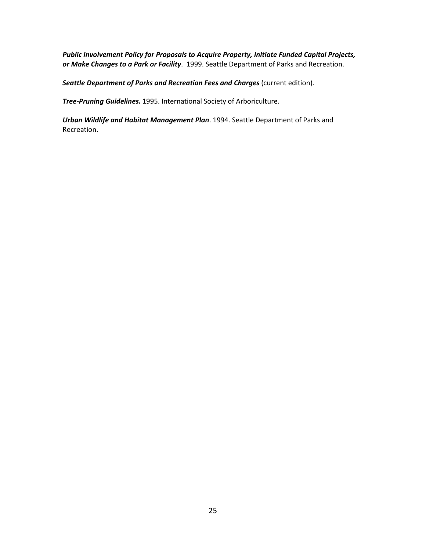*Public Involvement Policy for Proposals to Acquire Property, Initiate Funded Capital Projects, or Make Changes to a Park or Facility*. 1999. Seattle Department of Parks and Recreation.

Seattle Department of Parks and Recreation Fees and Charges (current edition).

*Tree-Pruning Guidelines.* 1995. International Society of Arboriculture.

*Urban Wildlife and Habitat Management Plan*. 1994. Seattle Department of Parks and Recreation.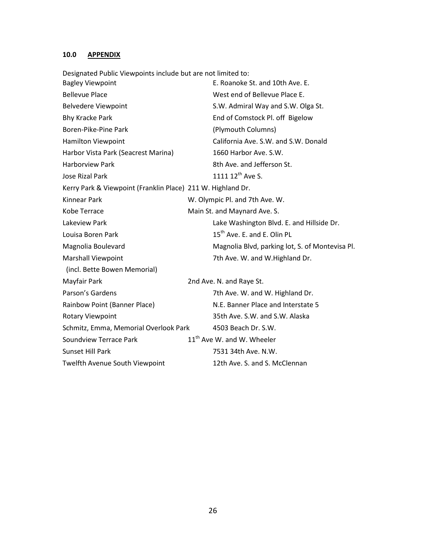# **10.0 APPENDIX**

Designated Public Viewpoints include but are not limited to:

| <b>Bagley Viewpoint</b>                                     | E. Roanoke St. and 10th Ave. E.                 |
|-------------------------------------------------------------|-------------------------------------------------|
| <b>Bellevue Place</b>                                       | West end of Bellevue Place E.                   |
| <b>Belvedere Viewpoint</b>                                  | S.W. Admiral Way and S.W. Olga St.              |
| <b>Bhy Kracke Park</b>                                      | End of Comstock Pl. off Bigelow                 |
| Boren-Pike-Pine Park                                        | (Plymouth Columns)                              |
| <b>Hamilton Viewpoint</b>                                   | California Ave. S.W. and S.W. Donald            |
| Harbor Vista Park (Seacrest Marina)                         | 1660 Harbor Ave. S.W.                           |
| <b>Harborview Park</b>                                      | 8th Ave. and Jefferson St.                      |
| <b>Jose Rizal Park</b>                                      | 1111 12 <sup>th</sup> Ave S.                    |
| Kerry Park & Viewpoint (Franklin Place) 211 W. Highland Dr. |                                                 |
| <b>Kinnear Park</b>                                         | W. Olympic Pl. and 7th Ave. W.                  |
| Kobe Terrace                                                | Main St. and Maynard Ave. S.                    |
| Lakeview Park                                               | Lake Washington Blvd. E. and Hillside Dr.       |
| Louisa Boren Park                                           | 15 <sup>th</sup> Ave. E. and E. Olin PL         |
| Magnolia Boulevard                                          | Magnolia Blvd, parking lot, S. of Montevisa Pl. |
| <b>Marshall Viewpoint</b>                                   | 7th Ave. W. and W.Highland Dr.                  |
| (incl. Bette Bowen Memorial)                                |                                                 |
| Mayfair Park                                                | 2nd Ave. N. and Raye St.                        |
| Parson's Gardens                                            | 7th Ave. W. and W. Highland Dr.                 |
| Rainbow Point (Banner Place)                                | N.E. Banner Place and Interstate 5              |
| <b>Rotary Viewpoint</b>                                     | 35th Ave. S.W. and S.W. Alaska                  |
| Schmitz, Emma, Memorial Overlook Park                       | 4503 Beach Dr. S.W.                             |
| Soundview Terrace Park                                      | $11th$ Ave W. and W. Wheeler                    |
| Sunset Hill Park                                            | 7531 34th Ave. N.W.                             |
| Twelfth Avenue South Viewpoint                              | 12th Ave. S. and S. McClennan                   |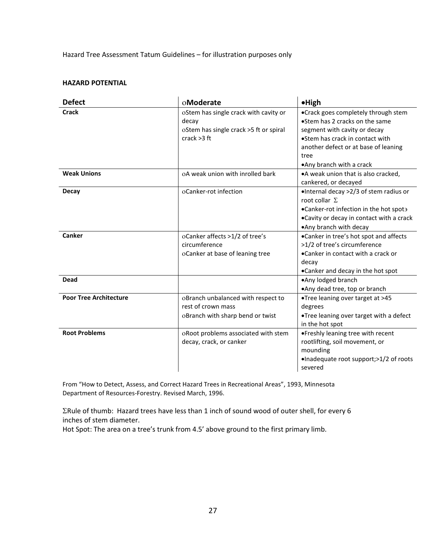#### Hazard Tree Assessment Tatum Guidelines – for illustration purposes only

#### **HAZARD POTENTIAL**

| <b>Defect</b>                 | oModerate                              | $\bullet$ High                            |
|-------------------------------|----------------------------------------|-------------------------------------------|
| <b>Crack</b>                  | oStem has single crack with cavity or  | •Crack goes completely through stem       |
|                               | decay                                  | •Stem has 2 cracks on the same            |
|                               | oStem has single crack >5 ft or spiral | segment with cavity or decay              |
|                               | crack $>3$ ft                          | •Stem has crack in contact with           |
|                               |                                        | another defect or at base of leaning      |
|                               |                                        | tree                                      |
|                               |                                        | .Any branch with a crack                  |
| <b>Weak Unions</b>            | oA weak union with inrolled bark       | •A weak union that is also cracked,       |
|                               |                                        | cankered, or decayed                      |
| <b>Decay</b>                  | oCanker-rot infection                  | ·Internal decay >2/3 of stem radius or    |
|                               |                                        | root collar $\Sigma$                      |
|                               |                                        | .Canker-rot infection in the hot spota    |
|                               |                                        | . Cavity or decay in contact with a crack |
|                               |                                        | .Any branch with decay                    |
| Canker                        | oCanker affects >1/2 of tree's         | •Canker in tree's hot spot and affects    |
|                               | circumference                          | >1/2 of tree's circumference              |
|                               | oCanker at base of leaning tree        | •Canker in contact with a crack or        |
|                               |                                        | decay                                     |
|                               |                                        | •Canker and decay in the hot spot         |
| <b>Dead</b>                   |                                        | •Any lodged branch                        |
|                               |                                        | •Any dead tree, top or branch             |
| <b>Poor Tree Architecture</b> | oBranch unbalanced with respect to     | •Tree leaning over target at >45          |
|                               | rest of crown mass                     | degrees                                   |
|                               | oBranch with sharp bend or twist       | .Tree leaning over target with a defect   |
|                               |                                        | in the hot spot                           |
| <b>Root Problems</b>          | oRoot problems associated with stem    | . Freshly leaning tree with recent        |
|                               | decay, crack, or canker                | rootlifting, soil movement, or            |
|                               |                                        | mounding                                  |
|                               |                                        | •Inadequate root support;>1/2 of roots    |
|                               |                                        | severed                                   |

From "How to Detect, Assess, and Correct Hazard Trees in Recreational Areas", 1993, Minnesota Department of Resources-Forestry. Revised March, 1996.

ΣRule of thumb: Hazard trees have less than 1 inch of sound wood of outer shell, for every 6 inches of stem diameter.

Hot Spot: The area on a tree's trunk from 4.5' above ground to the first primary limb.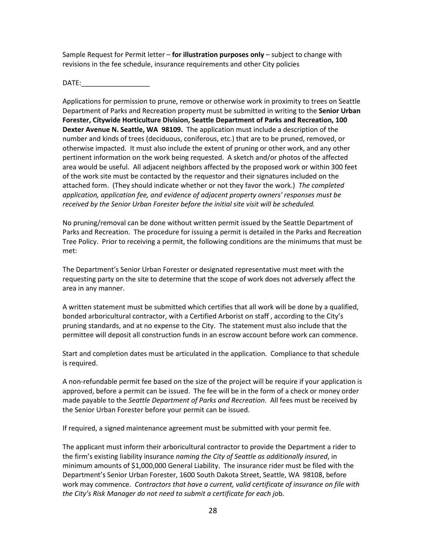Sample Request for Permit letter – **for illustration purposes only** – subject to change with revisions in the fee schedule, insurance requirements and other City policies

 $DATE:$ 

Applications for permission to prune, remove or otherwise work in proximity to trees on Seattle Department of Parks and Recreation property must be submitted in writing to the **Senior Urban Forester, Citywide Horticulture Division, Seattle Department of Parks and Recreation, 100 Dexter Avenue N. Seattle, WA 98109.** The application must include a description of the number and kinds of trees (deciduous, coniferous, etc.) that are to be pruned, removed, or otherwise impacted. It must also include the extent of pruning or other work, and any other pertinent information on the work being requested. A sketch and/or photos of the affected area would be useful. All adjacent neighbors affected by the proposed work or within 300 feet of the work site must be contacted by the requestor and their signatures included on the attached form. (They should indicate whether or not they favor the work.) *The completed application, application fee, and evidence of adjacent property owners' responses must be received by the Senior Urban Forester before the initial site visit will be scheduled.*

No pruning/removal can be done without written permit issued by the Seattle Department of Parks and Recreation. The procedure for issuing a permit is detailed in the Parks and Recreation Tree Policy. Prior to receiving a permit, the following conditions are the minimums that must be met:

The Department's Senior Urban Forester or designated representative must meet with the requesting party on the site to determine that the scope of work does not adversely affect the area in any manner.

A written statement must be submitted which certifies that all work will be done by a qualified, bonded arboricultural contractor, with a Certified Arborist on staff , according to the City's pruning standards, and at no expense to the City. The statement must also include that the permittee will deposit all construction funds in an escrow account before work can commence.

Start and completion dates must be articulated in the application. Compliance to that schedule is required.

A non-refundable permit fee based on the size of the project will be require if your application is approved, before a permit can be issued. The fee will be in the form of a check or money order made payable to the *Seattle Department of Parks and Recreation*. All fees must be received by the Senior Urban Forester before your permit can be issued.

If required, a signed maintenance agreement must be submitted with your permit fee.

The applicant must inform their arboricultural contractor to provide the Department a rider to the firm's existing liability insurance *naming the City of Seattle as additionally insured*, in minimum amounts of \$1,000,000 General Liability. The insurance rider must be filed with the Department's Senior Urban Forester, 1600 South Dakota Street, Seattle, WA 98108, before work may commence. *Contractors that have a current, valid certificate of insurance on file with the City's Risk Manager do not need to submit a certificate for each jo*b.